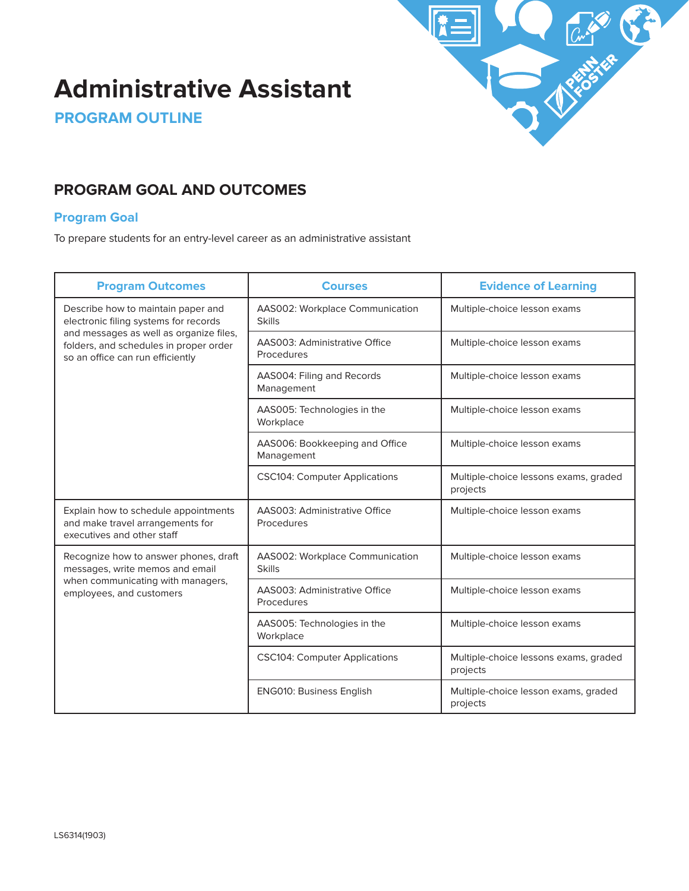

# **Administrative Assistant**

**PROGRAM OUTLINE**

# **PROGRAM GOAL AND OUTCOMES**

#### **Program Goal**

To prepare students for an entry-level career as an administrative assistant

| <b>Program Outcomes</b>                                                                                                                                                                              | <b>Courses</b>                                   | <b>Evidence of Learning</b>                       |
|------------------------------------------------------------------------------------------------------------------------------------------------------------------------------------------------------|--------------------------------------------------|---------------------------------------------------|
| Describe how to maintain paper and<br>electronic filing systems for records<br>and messages as well as organize files,<br>folders, and schedules in proper order<br>so an office can run efficiently | AAS002: Workplace Communication<br><b>Skills</b> | Multiple-choice lesson exams                      |
|                                                                                                                                                                                                      | AAS003: Administrative Office<br>Procedures      | Multiple-choice lesson exams                      |
|                                                                                                                                                                                                      | AAS004: Filing and Records<br>Management         | Multiple-choice lesson exams                      |
|                                                                                                                                                                                                      | AAS005: Technologies in the<br>Workplace         | Multiple-choice lesson exams                      |
|                                                                                                                                                                                                      | AAS006: Bookkeeping and Office<br>Management     | Multiple-choice lesson exams                      |
|                                                                                                                                                                                                      | <b>CSC104: Computer Applications</b>             | Multiple-choice lessons exams, graded<br>projects |
| Explain how to schedule appointments<br>and make travel arrangements for<br>executives and other staff                                                                                               | AAS003: Administrative Office<br>Procedures      | Multiple-choice lesson exams                      |
| Recognize how to answer phones, draft<br>messages, write memos and email<br>when communicating with managers,<br>employees, and customers                                                            | AAS002: Workplace Communication<br><b>Skills</b> | Multiple-choice lesson exams                      |
|                                                                                                                                                                                                      | AAS003: Administrative Office<br>Procedures      | Multiple-choice lesson exams                      |
|                                                                                                                                                                                                      | AAS005: Technologies in the<br>Workplace         | Multiple-choice lesson exams                      |
|                                                                                                                                                                                                      | <b>CSC104: Computer Applications</b>             | Multiple-choice lessons exams, graded<br>projects |
|                                                                                                                                                                                                      | <b>ENG010: Business English</b>                  | Multiple-choice lesson exams, graded<br>projects  |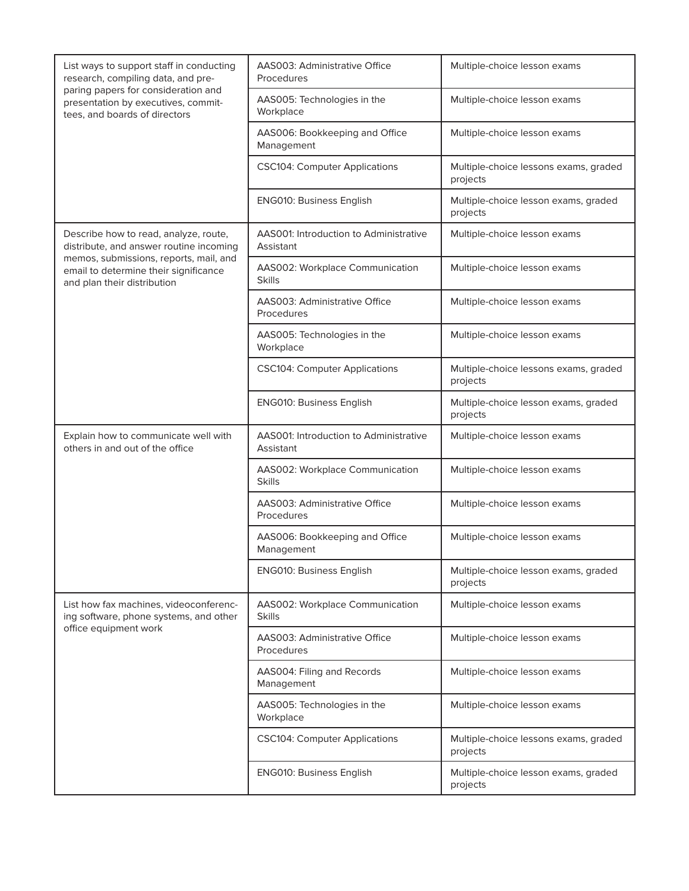| List ways to support staff in conducting<br>research, compiling data, and pre-<br>paring papers for consideration and<br>presentation by executives, commit-<br>tees, and boards of directors | <b>AAS003: Administrative Office</b><br>Procedures  | Multiple-choice lesson exams                      |
|-----------------------------------------------------------------------------------------------------------------------------------------------------------------------------------------------|-----------------------------------------------------|---------------------------------------------------|
|                                                                                                                                                                                               | AAS005: Technologies in the<br>Workplace            | Multiple-choice lesson exams                      |
|                                                                                                                                                                                               | AAS006: Bookkeeping and Office<br>Management        | Multiple-choice lesson exams                      |
|                                                                                                                                                                                               | <b>CSC104: Computer Applications</b>                | Multiple-choice lessons exams, graded<br>projects |
|                                                                                                                                                                                               | <b>ENG010: Business English</b>                     | Multiple-choice lesson exams, graded<br>projects  |
| Describe how to read, analyze, route,<br>distribute, and answer routine incoming                                                                                                              | AAS001: Introduction to Administrative<br>Assistant | Multiple-choice lesson exams                      |
| memos, submissions, reports, mail, and<br>email to determine their significance<br>and plan their distribution                                                                                | AAS002: Workplace Communication<br><b>Skills</b>    | Multiple-choice lesson exams                      |
|                                                                                                                                                                                               | AAS003: Administrative Office<br>Procedures         | Multiple-choice lesson exams                      |
|                                                                                                                                                                                               | AAS005: Technologies in the<br>Workplace            | Multiple-choice lesson exams                      |
|                                                                                                                                                                                               | <b>CSC104: Computer Applications</b>                | Multiple-choice lessons exams, graded<br>projects |
|                                                                                                                                                                                               | <b>ENG010: Business English</b>                     | Multiple-choice lesson exams, graded<br>projects  |
| Explain how to communicate well with<br>others in and out of the office                                                                                                                       | AAS001: Introduction to Administrative<br>Assistant | Multiple-choice lesson exams                      |
|                                                                                                                                                                                               | AAS002: Workplace Communication<br><b>Skills</b>    | Multiple-choice lesson exams                      |
|                                                                                                                                                                                               | AAS003: Administrative Office<br>Procedures         | Multiple-choice lesson exams                      |
|                                                                                                                                                                                               | AAS006: Bookkeeping and Office<br>Management        | Multiple-choice lesson exams                      |
|                                                                                                                                                                                               | <b>ENG010: Business English</b>                     | Multiple-choice lesson exams, graded<br>projects  |
| List how fax machines, videoconferenc-<br>ing software, phone systems, and other<br>office equipment work                                                                                     | AAS002: Workplace Communication<br><b>Skills</b>    | Multiple-choice lesson exams                      |
|                                                                                                                                                                                               | <b>AAS003: Administrative Office</b><br>Procedures  | Multiple-choice lesson exams                      |
|                                                                                                                                                                                               | AAS004: Filing and Records<br>Management            | Multiple-choice lesson exams                      |
|                                                                                                                                                                                               | AAS005: Technologies in the<br>Workplace            | Multiple-choice lesson exams                      |
|                                                                                                                                                                                               | <b>CSC104: Computer Applications</b>                | Multiple-choice lessons exams, graded<br>projects |
|                                                                                                                                                                                               | <b>ENG010: Business English</b>                     | Multiple-choice lesson exams, graded<br>projects  |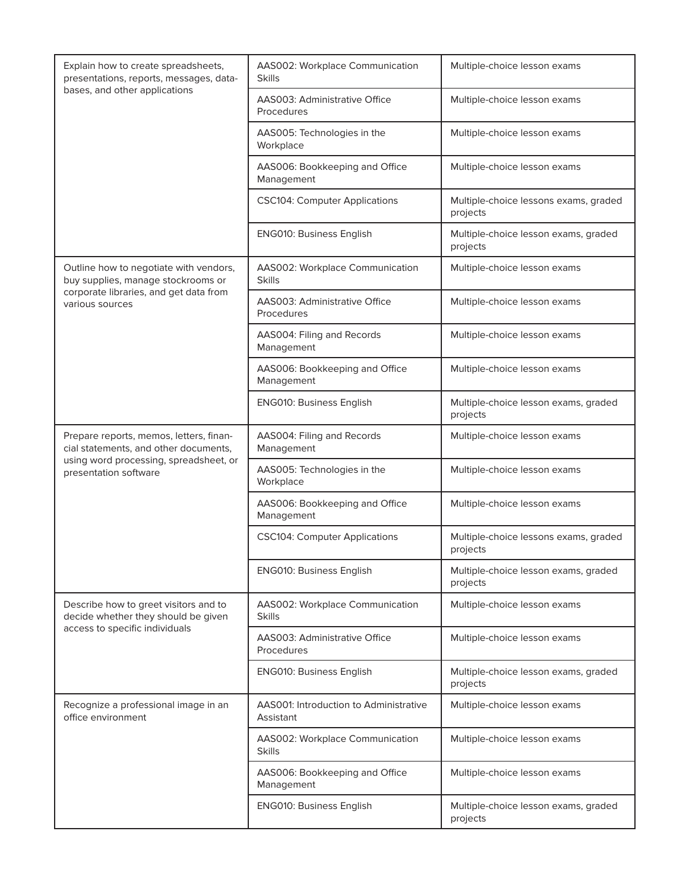| Explain how to create spreadsheets,<br>presentations, reports, messages, data-<br>bases, and other applications                                     | AAS002: Workplace Communication<br><b>Skills</b>           | Multiple-choice lesson exams                      |
|-----------------------------------------------------------------------------------------------------------------------------------------------------|------------------------------------------------------------|---------------------------------------------------|
|                                                                                                                                                     | AAS003: Administrative Office<br>Procedures                | Multiple-choice lesson exams                      |
|                                                                                                                                                     | AAS005: Technologies in the<br>Workplace                   | Multiple-choice lesson exams                      |
|                                                                                                                                                     | AAS006: Bookkeeping and Office<br>Management               | Multiple-choice lesson exams                      |
|                                                                                                                                                     | <b>CSC104: Computer Applications</b>                       | Multiple-choice lessons exams, graded<br>projects |
|                                                                                                                                                     | <b>ENG010: Business English</b>                            | Multiple-choice lesson exams, graded<br>projects  |
| Outline how to negotiate with vendors,<br>buy supplies, manage stockrooms or                                                                        | AAS002: Workplace Communication<br><b>Skills</b>           | Multiple-choice lesson exams                      |
| corporate libraries, and get data from<br>various sources                                                                                           | AAS003: Administrative Office<br>Procedures                | Multiple-choice lesson exams                      |
|                                                                                                                                                     | AAS004: Filing and Records<br>Management                   | Multiple-choice lesson exams                      |
|                                                                                                                                                     | AAS006: Bookkeeping and Office<br>Management               | Multiple-choice lesson exams                      |
|                                                                                                                                                     | <b>ENG010: Business English</b>                            | Multiple-choice lesson exams, graded<br>projects  |
| Prepare reports, memos, letters, finan-<br>cial statements, and other documents,<br>using word processing, spreadsheet, or<br>presentation software | AAS004: Filing and Records<br>Management                   | Multiple-choice lesson exams                      |
|                                                                                                                                                     | AAS005: Technologies in the<br>Workplace                   | Multiple-choice lesson exams                      |
|                                                                                                                                                     | AAS006: Bookkeeping and Office<br>Management               | Multiple-choice lesson exams                      |
|                                                                                                                                                     | <b>CSC104: Computer Applications</b>                       | Multiple-choice lessons exams, graded<br>projects |
|                                                                                                                                                     | <b>ENG010: Business English</b>                            | Multiple-choice lesson exams, graded<br>projects  |
| Describe how to greet visitors and to<br>decide whether they should be given<br>access to specific individuals                                      | AAS002: Workplace Communication<br><b>Skills</b>           | Multiple-choice lesson exams                      |
|                                                                                                                                                     | AAS003: Administrative Office<br>Procedures                | Multiple-choice lesson exams                      |
|                                                                                                                                                     | <b>ENG010: Business English</b>                            | Multiple-choice lesson exams, graded<br>projects  |
| Recognize a professional image in an<br>office environment                                                                                          | <b>AAS001: Introduction to Administrative</b><br>Assistant | Multiple-choice lesson exams                      |
|                                                                                                                                                     | AAS002: Workplace Communication<br><b>Skills</b>           | Multiple-choice lesson exams                      |
|                                                                                                                                                     | AAS006: Bookkeeping and Office<br>Management               | Multiple-choice lesson exams                      |
|                                                                                                                                                     | <b>ENG010: Business English</b>                            | Multiple-choice lesson exams, graded<br>projects  |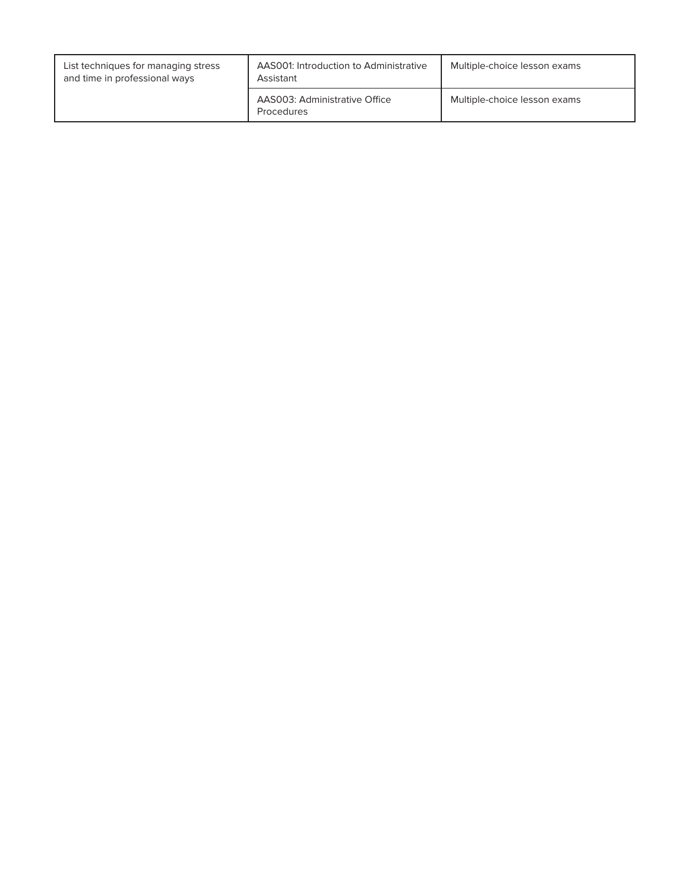| List techniques for managing stress<br>and time in professional ways | AAS001: Introduction to Administrative<br>Assistant | Multiple-choice lesson exams |
|----------------------------------------------------------------------|-----------------------------------------------------|------------------------------|
|                                                                      | AAS003: Administrative Office<br>Procedures         | Multiple-choice lesson exams |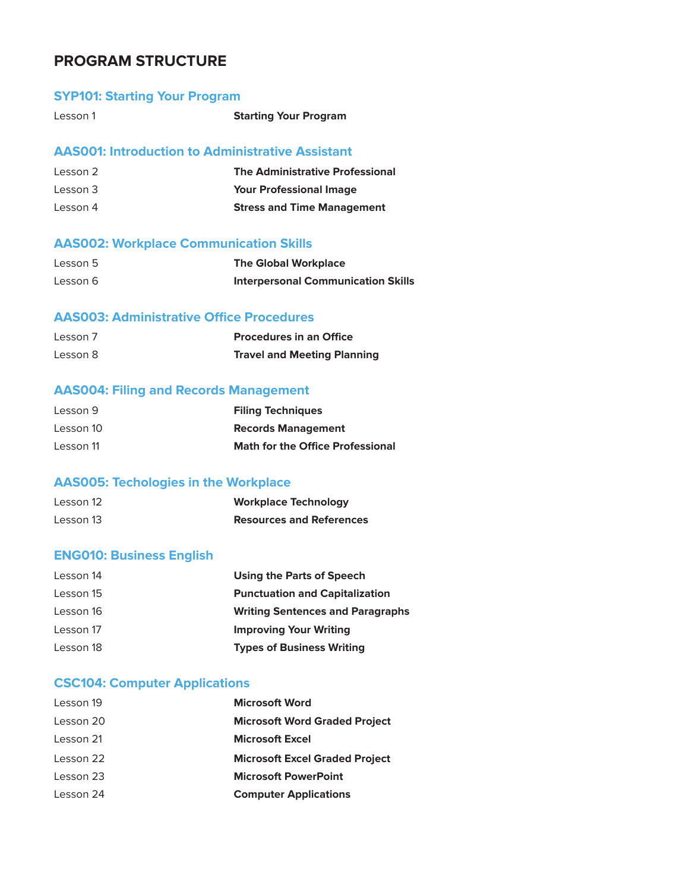# **PROGRAM STRUCTURE**

### **SYP101: Starting Your Program**

| Lesson 1 | <b>Starting Your Program</b> |
|----------|------------------------------|
|          |                              |

# **AAS001: Introduction to Administrative Assistant**

| Lesson 2 | <b>The Administrative Professional</b> |
|----------|----------------------------------------|
| Lesson 3 | <b>Your Professional Image</b>         |
| Lesson 4 | <b>Stress and Time Management</b>      |

# **AAS002: Workplace Communication Skills**

| Lesson 5 | <b>The Global Workplace</b>               |
|----------|-------------------------------------------|
| Lesson 6 | <b>Interpersonal Communication Skills</b> |

# **AAS003: Administrative Office Procedures**

| Lesson 7 | <b>Procedures in an Office</b>     |
|----------|------------------------------------|
| Lesson 8 | <b>Travel and Meeting Planning</b> |

# **AAS004: Filing and Records Management**

| Lesson 9  | <b>Filing Techniques</b>                |
|-----------|-----------------------------------------|
| Lesson 10 | <b>Records Management</b>               |
| Lesson 11 | <b>Math for the Office Professional</b> |

#### **AAS005: Techologies in the Workplace**

| Lesson 12 | <b>Workplace Technology</b>     |
|-----------|---------------------------------|
| Lesson 13 | <b>Resources and References</b> |

### **ENG010: Business English**

| <b>Using the Parts of Speech</b>        |
|-----------------------------------------|
| <b>Punctuation and Capitalization</b>   |
| <b>Writing Sentences and Paragraphs</b> |
| <b>Improving Your Writing</b>           |
| <b>Types of Business Writing</b>        |
|                                         |

# **CSC104: Computer Applications**

| Lesson 19 | <b>Microsoft Word</b>                 |
|-----------|---------------------------------------|
| Lesson 20 | <b>Microsoft Word Graded Project</b>  |
| Lesson 21 | <b>Microsoft Excel</b>                |
| Lesson 22 | <b>Microsoft Excel Graded Project</b> |
| Lesson 23 | <b>Microsoft PowerPoint</b>           |
| Lesson 24 | <b>Computer Applications</b>          |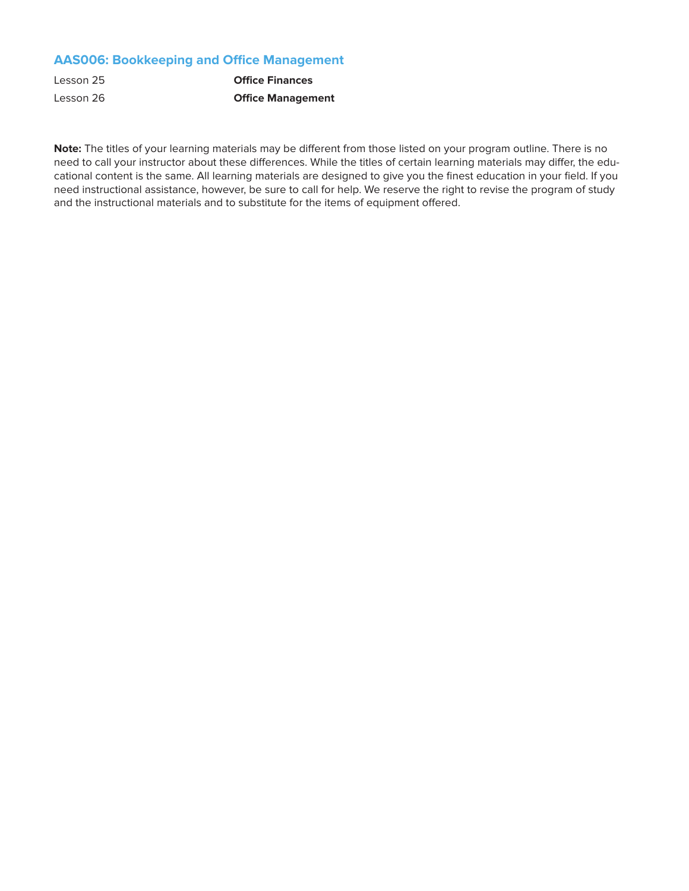# **AAS006: Bookkeeping and Office Management**

| Lesson 25 | <b>Office Finances</b>   |
|-----------|--------------------------|
| Lesson 26 | <b>Office Management</b> |

**Note:** The titles of your learning materials may be different from those listed on your program outline. There is no need to call your instructor about these differences. While the titles of certain learning materials may differ, the educational content is the same. All learning materials are designed to give you the finest education in your field. If you need instructional assistance, however, be sure to call for help. We reserve the right to revise the program of study and the instructional materials and to substitute for the items of equipment offered.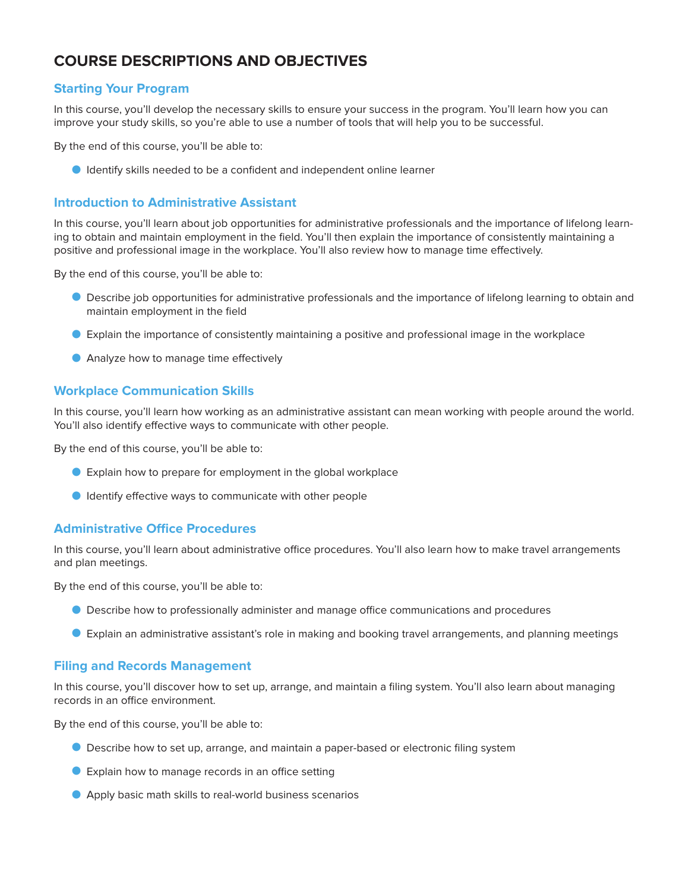# **COURSE DESCRIPTIONS AND OBJECTIVES**

#### **Starting Your Program**

In this course, you'll develop the necessary skills to ensure your success in the program. You'll learn how you can improve your study skills, so you're able to use a number of tools that will help you to be successful.

By the end of this course, you'll be able to:

O Identify skills needed to be a confident and independent online learner

#### **Introduction to Administrative Assistant**

In this course, you'll learn about job opportunities for administrative professionals and the importance of lifelong learning to obtain and maintain employment in the field. You'll then explain the importance of consistently maintaining a positive and professional image in the workplace. You'll also review how to manage time effectively.

By the end of this course, you'll be able to:

- O Describe job opportunities for administrative professionals and the importance of lifelong learning to obtain and maintain employment in the field
- O Explain the importance of consistently maintaining a positive and professional image in the workplace
- **O** Analyze how to manage time effectively

#### **Workplace Communication Skills**

In this course, you'll learn how working as an administrative assistant can mean working with people around the world. You'll also identify effective ways to communicate with other people.

By the end of this course, you'll be able to:

- O Explain how to prepare for employment in the global workplace
- O Identify effective ways to communicate with other people

#### **Administrative Office Procedures**

In this course, you'll learn about administrative office procedures. You'll also learn how to make travel arrangements and plan meetings.

By the end of this course, you'll be able to:

- O Describe how to professionally administer and manage office communications and procedures
- O Explain an administrative assistant's role in making and booking travel arrangements, and planning meetings

#### **Filing and Records Management**

In this course, you'll discover how to set up, arrange, and maintain a filing system. You'll also learn about managing records in an office environment.

By the end of this course, you'll be able to:

- O Describe how to set up, arrange, and maintain a paper-based or electronic filing system
- O Explain how to manage records in an office setting
- O Apply basic math skills to real-world business scenarios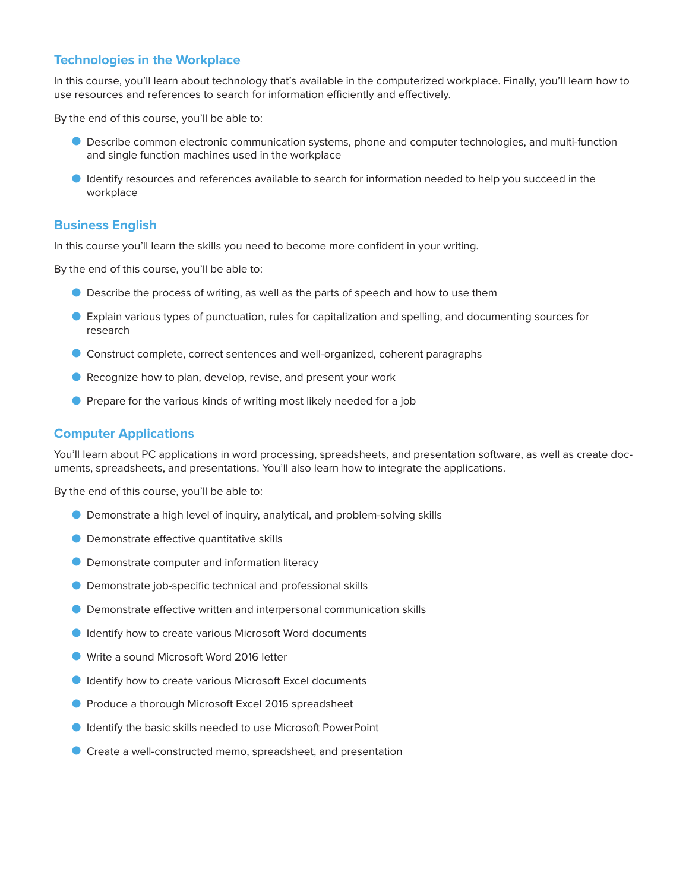#### **Technologies in the Workplace**

In this course, you'll learn about technology that's available in the computerized workplace. Finally, you'll learn how to use resources and references to search for information efficiently and effectively.

By the end of this course, you'll be able to:

- O Describe common electronic communication systems, phone and computer technologies, and multi-function and single function machines used in the workplace
- **I** Identify resources and references available to search for information needed to help you succeed in the workplace

#### **Business English**

In this course you'll learn the skills you need to become more confident in your writing.

By the end of this course, you'll be able to:

- O Describe the process of writing, as well as the parts of speech and how to use them
- O Explain various types of punctuation, rules for capitalization and spelling, and documenting sources for research
- O Construct complete, correct sentences and well-organized, coherent paragraphs
- Recognize how to plan, develop, revise, and present your work
- **O** Prepare for the various kinds of writing most likely needed for a job

#### **Computer Applications**

You'll learn about PC applications in word processing, spreadsheets, and presentation software, as well as create documents, spreadsheets, and presentations. You'll also learn how to integrate the applications.

By the end of this course, you'll be able to:

- O Demonstrate a high level of inquiry, analytical, and problem-solving skills
- **O** Demonstrate effective quantitative skills
- **O** Demonstrate computer and information literacy
- O Demonstrate job-specific technical and professional skills
- O Demonstrate effective written and interpersonal communication skills
- O Identify how to create various Microsoft Word documents
- Write a sound Microsoft Word 2016 letter
- O Identify how to create various Microsoft Excel documents
- O Produce a thorough Microsoft Excel 2016 spreadsheet
- **O** Identify the basic skills needed to use Microsoft PowerPoint
- Create a well-constructed memo, spreadsheet, and presentation